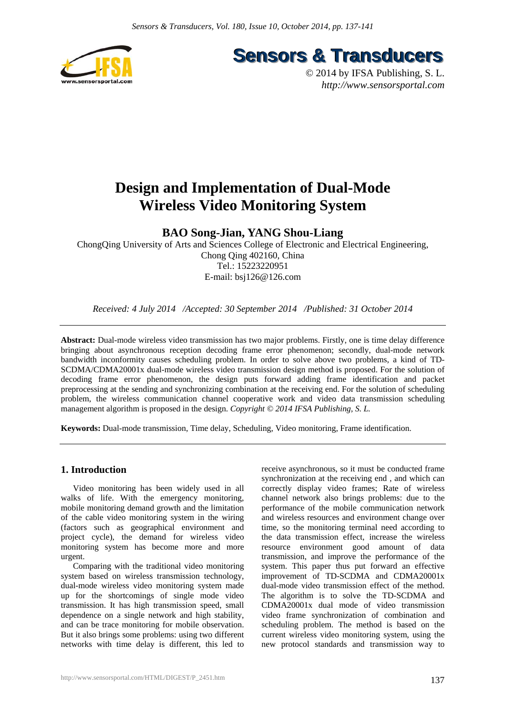

**Sensors & Transducers** 

© 2014 by IFSA Publishing, S. L. *http://www.sensorsportal.com*

# **Design and Implementation of Dual-Mode Wireless Video Monitoring System**

**BAO Song-Jian, YANG Shou-Liang** 

ChongQing University of Arts and Sciences College of Electronic and Electrical Engineering, Chong Qing 402160, China Tel.: 15223220951 E-mail: bsj126@126.com

*Received: 4 July 2014 /Accepted: 30 September 2014 /Published: 31 October 2014* 

**Abstract:** Dual-mode wireless video transmission has two major problems. Firstly, one is time delay difference bringing about asynchronous reception decoding frame error phenomenon; secondly, dual-mode network bandwidth inconformity causes scheduling problem. In order to solve above two problems, a kind of TD-SCDMA/CDMA20001x dual-mode wireless video transmission design method is proposed. For the solution of decoding frame error phenomenon, the design puts forward adding frame identification and packet preprocessing at the sending and synchronizing combination at the receiving end. For the solution of scheduling problem, the wireless communication channel cooperative work and video data transmission scheduling management algorithm is proposed in the design. *Copyright © 2014 IFSA Publishing, S. L.*

**Keywords:** Dual-mode transmission, Time delay, Scheduling, Video monitoring, Frame identification.

## **1. Introduction**

Video monitoring has been widely used in all walks of life. With the emergency monitoring, mobile monitoring demand growth and the limitation of the cable video monitoring system in the wiring (factors such as geographical environment and project cycle), the demand for wireless video monitoring system has become more and more urgent.

Comparing with the traditional video monitoring system based on wireless transmission technology, dual-mode wireless video monitoring system made up for the shortcomings of single mode video transmission. It has high transmission speed, small dependence on a single network and high stability, and can be trace monitoring for mobile observation. But it also brings some problems: using two different networks with time delay is different, this led to receive asynchronous, so it must be conducted frame synchronization at the receiving end , and which can correctly display video frames; Rate of wireless channel network also brings problems: due to the performance of the mobile communication network and wireless resources and environment change over time, so the monitoring terminal need according to the data transmission effect, increase the wireless resource environment good amount of data transmission, and improve the performance of the system. This paper thus put forward an effective improvement of TD-SCDMA and CDMA20001x dual-mode video transmission effect of the method. The algorithm is to solve the TD-SCDMA and CDMA20001x dual mode of video transmission video frame synchronization of combination and scheduling problem. The method is based on the current wireless video monitoring system, using the new protocol standards and transmission way to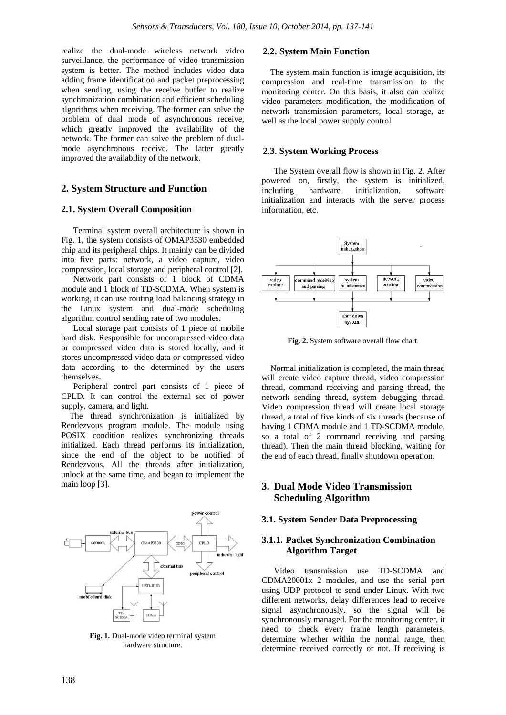realize the dual-mode wireless network video surveillance, the performance of video transmission system is better. The method includes video data adding frame identification and packet preprocessing when sending, using the receive buffer to realize synchronization combination and efficient scheduling algorithms when receiving. The former can solve the problem of dual mode of asynchronous receive, which greatly improved the availability of the network. The former can solve the problem of dualmode asynchronous receive. The latter greatly improved the availability of the network.

## **2. System Structure and Function**

#### **2.1. System Overall Composition**

Terminal system overall architecture is shown in Fig. 1, the system consists of OMAP3530 embedded chip and its peripheral chips. It mainly can be divided into five parts: network, a video capture, video compression, local storage and peripheral control [2].

Network part consists of 1 block of CDMA module and 1 block of TD-SCDMA. When system is working, it can use routing load balancing strategy in the Linux system and dual-mode scheduling algorithm control sending rate of two modules.

Local storage part consists of 1 piece of mobile hard disk. Responsible for uncompressed video data or compressed video data is stored locally, and it stores uncompressed video data or compressed video data according to the determined by the users themselves.

Peripheral control part consists of 1 piece of CPLD. It can control the external set of power supply, camera, and light.

The thread synchronization is initialized by Rendezvous program module. The module using POSIX condition realizes synchronizing threads initialized. Each thread performs its initialization, since the end of the object to be notified of Rendezvous. All the threads after initialization, unlock at the same time, and began to implement the main loop [3].



**Fig. 1.** Dual-mode video terminal system hardware structure.

#### **2.2. System Main Function**

The system main function is image acquisition, its compression and real-time transmission to the monitoring center. On this basis, it also can realize video parameters modification, the modification of network transmission parameters, local storage, as well as the local power supply control.

#### **2.3. System Working Process**

The System overall flow is shown in Fig. 2. After powered on, firstly, the system is initialized, including hardware initialization, software initialization and interacts with the server process information, etc.



**Fig. 2.** System software overall flow chart.

Normal initialization is completed, the main thread will create video capture thread, video compression thread, command receiving and parsing thread, the network sending thread, system debugging thread. Video compression thread will create local storage thread, a total of five kinds of six threads (because of having 1 CDMA module and 1 TD-SCDMA module, so a total of 2 command receiving and parsing thread). Then the main thread blocking, waiting for the end of each thread, finally shutdown operation.

# **3. Dual Mode Video Transmission Scheduling Algorithm**

#### **3.1. System Sender Data Preprocessing**

#### **3.1.1. Packet Synchronization Combination Algorithm Target**

Video transmission use TD-SCDMA and CDMA20001x 2 modules, and use the serial port using UDP protocol to send under Linux. With two different networks, delay differences lead to receive signal asynchronously, so the signal will be synchronously managed. For the monitoring center, it need to check every frame length parameters, determine whether within the normal range, then determine received correctly or not. If receiving is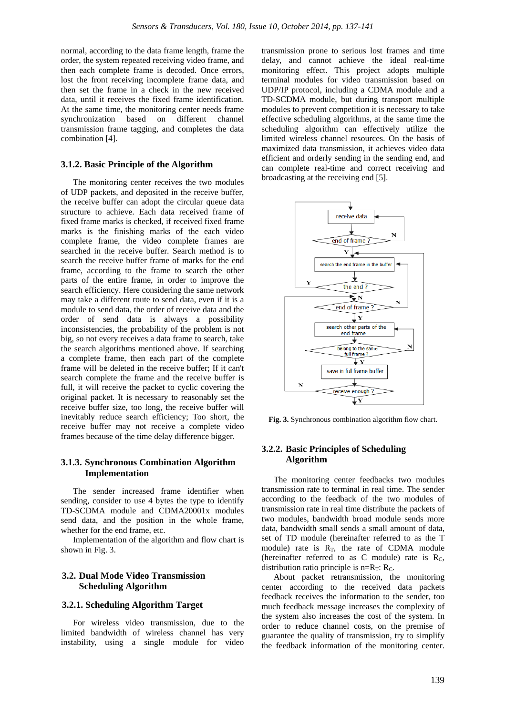normal, according to the data frame length, frame the order, the system repeated receiving video frame, and then each complete frame is decoded. Once errors, lost the front receiving incomplete frame data, and then set the frame in a check in the new received data, until it receives the fixed frame identification. At the same time, the monitoring center needs frame synchronization based on different channel transmission frame tagging, and completes the data combination [4].

#### **3.1.2. Basic Principle of the Algorithm**

The monitoring center receives the two modules of UDP packets, and deposited in the receive buffer, the receive buffer can adopt the circular queue data structure to achieve. Each data received frame of fixed frame marks is checked, if received fixed frame marks is the finishing marks of the each video complete frame, the video complete frames are searched in the receive buffer. Search method is to search the receive buffer frame of marks for the end frame, according to the frame to search the other parts of the entire frame, in order to improve the search efficiency. Here considering the same network may take a different route to send data, even if it is a module to send data, the order of receive data and the order of send data is always a possibility inconsistencies, the probability of the problem is not big, so not every receives a data frame to search, take the search algorithms mentioned above. If searching a complete frame, then each part of the complete frame will be deleted in the receive buffer; If it can't search complete the frame and the receive buffer is full, it will receive the packet to cyclic covering the original packet. It is necessary to reasonably set the receive buffer size, too long, the receive buffer will inevitably reduce search efficiency; Too short, the receive buffer may not receive a complete video frames because of the time delay difference bigger.

### **3.1.3. Synchronous Combination Algorithm Implementation**

The sender increased frame identifier when sending, consider to use 4 bytes the type to identify TD-SCDMA module and CDMA20001x modules send data, and the position in the whole frame, whether for the end frame, etc.

Implementation of the algorithm and flow chart is shown in Fig. 3.

## **3.2. Dual Mode Video Transmission Scheduling Algorithm**

#### **3.2.1. Scheduling Algorithm Target**

For wireless video transmission, due to the limited bandwidth of wireless channel has very instability, using a single module for video transmission prone to serious lost frames and time delay, and cannot achieve the ideal real-time monitoring effect. This project adopts multiple terminal modules for video transmission based on UDP/IP protocol, including a CDMA module and a TD-SCDMA module, but during transport multiple modules to prevent competition it is necessary to take effective scheduling algorithms, at the same time the scheduling algorithm can effectively utilize the limited wireless channel resources. On the basis of maximized data transmission, it achieves video data efficient and orderly sending in the sending end, and can complete real-time and correct receiving and broadcasting at the receiving end [5].



**Fig. 3.** Synchronous combination algorithm flow chart.

## **3.2.2. Basic Principles of Scheduling Algorithm**

The monitoring center feedbacks two modules transmission rate to terminal in real time. The sender according to the feedback of the two modules of transmission rate in real time distribute the packets of two modules, bandwidth broad module sends more data, bandwidth small sends a small amount of data, set of TD module (hereinafter referred to as the T module) rate is  $R_T$ , the rate of CDMA module (hereinafter referred to as C module) rate is RC, distribution ratio principle is  $n=R_T$ :  $R_C$ .

About packet retransmission, the monitoring center according to the received data packets feedback receives the information to the sender, too much feedback message increases the complexity of the system also increases the cost of the system. In order to reduce channel costs, on the premise of guarantee the quality of transmission, try to simplify the feedback information of the monitoring center.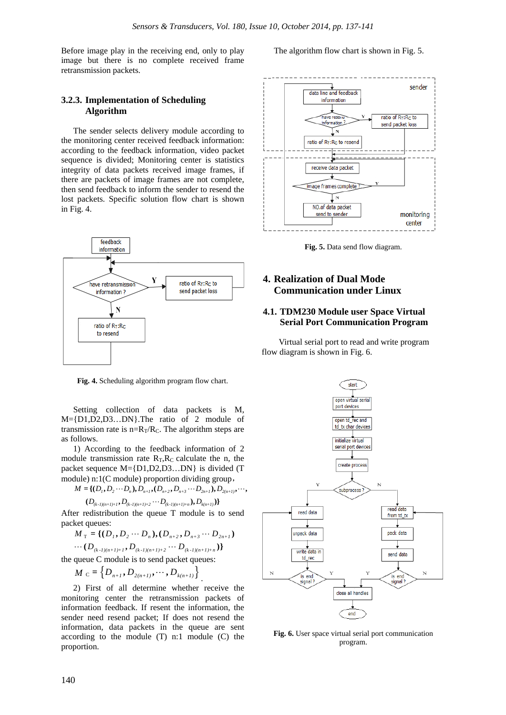Before image play in the receiving end, only to play image but there is no complete received frame retransmission packets.

## **3.2.3. Implementation of Scheduling Algorithm**

The sender selects delivery module according to the monitoring center received feedback information: according to the feedback information, video packet sequence is divided; Monitoring center is statistics integrity of data packets received image frames, if there are packets of image frames are not complete, then send feedback to inform the sender to resend the lost packets. Specific solution flow chart is shown in Fig. 4.



**Fig. 4.** Scheduling algorithm program flow chart.

Setting collection of data packets is M, M={D1,D2,D3…DN}.The ratio of 2 module of transmission rate is  $n=R_T/R_C$ . The algorithm steps are as follows.

1) According to the feedback information of 2 module transmission rate  $R_T$ ,  $R_C$  calculate the n, the packet sequence M={D1,D2,D3…DN} is divided (T module) n:1(C module) proportion dividing group,

$$
M = \{ (D_1, D_2 \cdots D_n), D_{n+1}, (D_{n+2}, D_{n+3} \cdots D_{2n+1}), D_{2(n+1)}, \cdots \}
$$

$$
(D_{\scriptscriptstyle (k-l)(n+l)+1}, D_{\scriptscriptstyle (k-l)(n+l)+2} \cdots D_{\scriptscriptstyle (k-l)(n+l)+n}), D_{\scriptscriptstyle k(n+l)})\}
$$

After redistribution the queue T module is to send packet queues:

$$
M_{\mathrm{T}} = \{ (D_1, D_2 \cdots D_n), (D_{n+2}, D_{n+3} \cdots D_{2n+1}) \}
$$

$$
\cdots(D_{(k-l)(n+1)+1},D_{(k-l)(n+1)+2}\cdots D_{(k-l)(n+1)+n})\}
$$

the queue C module is to send packet queues:

$$
M_{\rm c} = \left\{ D_{n+1}, D_{2(n+1)}, \cdots, D_{k(n+1)} \right\}.
$$

2) First of all determine whether receive the monitoring center the retransmission packets of information feedback. If resent the information, the sender need resend packet; If does not resend the information, data packets in the queue are sent according to the module (T) n:1 module (C) the proportion.

The algorithm flow chart is shown in Fig. 5.



**Fig. 5.** Data send flow diagram.

# **4. Realization of Dual Mode Communication under Linux**

## **4.1. TDM230 Module user Space Virtual Serial Port Communication Program**

Virtual serial port to read and write program flow diagram is shown in Fig. 6.



**Fig. 6.** User space virtual serial port communication program.